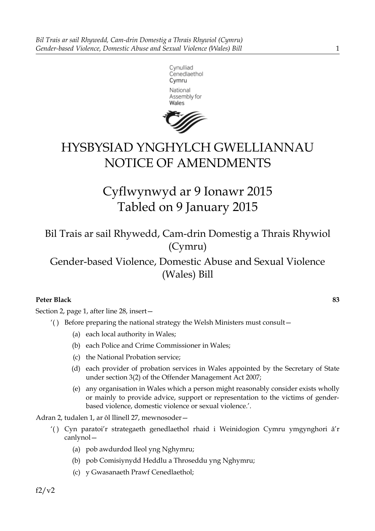



# HYSBYSIAD YNGHYLCH GWELLIANNAU NOTICE OF AMENDMENTS

Cyflwynwyd ar 9 Ionawr 2015 Tabled on 9 January 2015

Bil Trais ar sail Rhywedd, Cam-drin Domestig a Thrais Rhywiol (Cymru)

Gender-based Violence, Domestic Abuse and Sexual Violence (Wales) Bill

# **Peter Black 83**

Section 2, page 1, after line 28, insert—

- '( ) Before preparing the national strategy the Welsh Ministers must consult—
	- (a) each local authority in Wales;
	- (b) each Police and Crime Commissioner in Wales;
	- (c) the National Probation service;
	- (d) each provider of probation services in Wales appointed by the Secretary of State under section 3(2) of the Offender Management Act 2007;
	- (e) any organisation in Wales which a person might reasonably consider exists wholly or mainly to provide advice, support or representation to the victims of genderbased violence, domestic violence or sexual violence.'.

Adran 2, tudalen 1, ar ôl llinell 27, mewnosoder—

- '( ) Cyn paratoi'r strategaeth genedlaethol rhaid i Weinidogion Cymru ymgynghori â'r canlynol—
	- (a) pob awdurdod lleol yng Nghymru;
	- (b) pob Comisiynydd Heddlu a Throseddu yng Nghymru;
	- (c) y Gwasanaeth Prawf Cenedlaethol;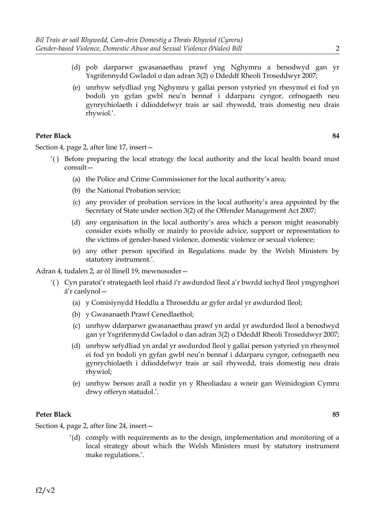- (d) pob darparwr gwasanaethau prawf yng Nghymru a benodwyd gan yr Ysgrifennydd Gwladol o dan adran 3(2) o Ddeddf Rheoli Troseddwyr 2007;
- (e) unrhyw sefydliad yng Nghymru y gallai person ystyried yn rhesymol ei fod yn bodoli yn gyfan gwbl neu'n bennaf i ddarparu cyngor, cefnogaeth neu gynrychiolaeth i ddioddefwyr trais ar sail rhywedd, trais domestig neu drais rhywiol.'.

Section 4, page 2, after line 17, insert—

- '( ) Before preparing the local strategy the local authority and the local health board must consult—
	- (a) the Police and Crime Commissioner for the local authority's area;
	- (b) the National Probation service;
	- (c) any provider of probation services in the local authority's area appointed by the Secretary of State under section 3(2) of the Offender Management Act 2007;
	- (d) any organisation in the local authority's area which a person might reasonably consider exists wholly or mainly to provide advice, support or representation to the victims of gender-based violence, domestic violence or sexual violence;
	- (e) any other person specified in Regulations made by the Welsh Ministers by statutory instrument.'.

Adran 4, tudalen 2, ar ôl llinell 19, mewnosoder—

- '( ) Cyn paratoi'r strategaeth leol rhaid i'r awdurdod lleol a'r bwrdd iechyd lleol ymgynghori â'r canlynol—
	- (a) y Comisiynydd Heddlu a Throseddu ar gyfer ardal yr awdurdod lleol;
	- (b) y Gwasanaeth Prawf Cenedlaethol;
	- (c) unrhyw ddarparwr gwasanaethau prawf yn ardal yr awdurdod lleol a benodwyd gan yr Ysgrifennydd Gwladol o dan adran 3(2) o Ddeddf Rheoli Troseddwyr 2007;
	- (d) unrhyw sefydliad yn ardal yr awdurdod lleol y gallai person ystyried yn rhesymol ei fod yn bodoli yn gyfan gwbl neu'n bennaf i ddarparu cyngor, cefnogaeth neu gynrychiolaeth i ddioddefwyr trais ar sail rhywedd, trais domestig neu drais rhywiol;
	- (e) unrhyw berson arall a nodir yn y Rheoliadau a wneir gan Weinidogion Cymru drwy offeryn statudol.'.

#### **Peter Black 85**

Section 4, page 2, after line 24, insert—

'(d) comply with requirements as to the design, implementation and monitoring of a local strategy about which the Welsh Ministers must by statutory instrument make regulations.'.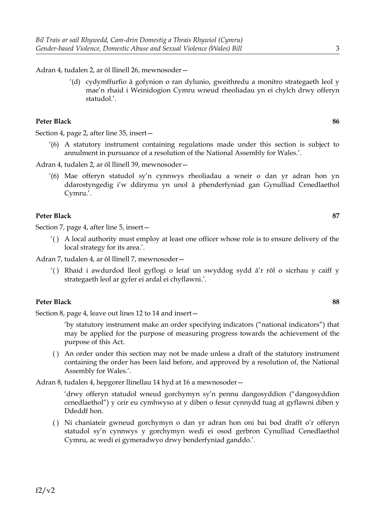Adran 4, tudalen 2, ar ôl llinell 26, mewnosoder—

'(d) cydymffurfio â gofynion o ran dylunio, gweithredu a monitro strategaeth leol y mae'n rhaid i Weinidogion Cymru wneud rheoliadau yn ei chylch drwy offeryn statudol.'.

#### **Peter Black 86**

Section 4, page 2, after line 35, insert—

- '(6) A statutory instrument containing regulations made under this section is subject to annulment in pursuance of a resolution of the National Assembly for Wales.'.
- Adran 4, tudalen 2, ar ôl llinell 39, mewnosoder—
	- '(6) Mae offeryn statudol sy'n cynnwys rheoliadau a wneir o dan yr adran hon yn ddarostyngedig i'w ddirymu yn unol â phenderfyniad gan Gynulliad Cenedlaethol Cymru.'.

#### **Peter Black 87**

Section 7, page 4, after line 5, insert—

'( ) A local authority must employ at least one officer whose role is to ensure delivery of the local strategy for its area.'.

Adran 7, tudalen 4, ar ôl llinell 7, mewnosoder—

'( ) Rhaid i awdurdod lleol gyflogi o leiaf un swyddog sydd â'r rôl o sicrhau y caiff y strategaeth leol ar gyfer ei ardal ei chyflawni.'.

#### **Peter Black 88**

Section 8, page 4, leave out lines 12 to 14 and insert—

'by statutory instrument make an order specifying indicators ("national indicators") that may be applied for the purpose of measuring progress towards the achievement of the purpose of this Act.

( ) An order under this section may not be made unless a draft of the statutory instrument containing the order has been laid before, and approved by a resolution of, the National Assembly for Wales.'.

Adran 8, tudalen 4, hepgorer llinellau 14 hyd at 16 a mewnosoder—

'drwy offeryn statudol wneud gorchymyn sy'n pennu dangosyddion ("dangosyddion cenedlaethol") y ceir eu cymhwyso at y diben o fesur cynnydd tuag at gyflawni diben y Ddeddf hon.

( ) Ni chaniateir gwneud gorchymyn o dan yr adran hon oni bai bod drafft o'r offeryn statudol sy'n cynnwys y gorchymyn wedi ei osod gerbron Cynulliad Cenedlaethol Cymru, ac wedi ei gymeradwyo drwy benderfyniad ganddo.'.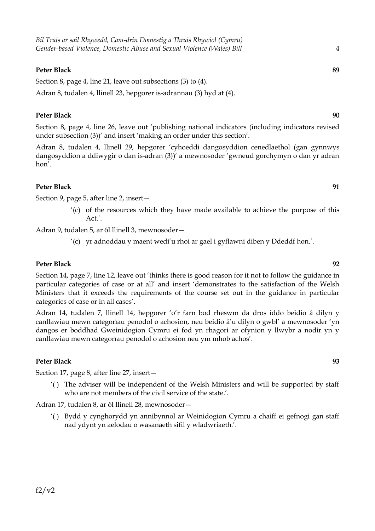Section 8, page 4, line 21, leave out subsections (3) to (4). Adran 8, tudalen 4, llinell 23, hepgorer is-adrannau (3) hyd at (4).

## **Peter Black 90**

Section 8, page 4, line 26, leave out 'publishing national indicators (including indicators revised under subsection (3))' and insert 'making an order under this section'.

Adran 8, tudalen 4, llinell 29, hepgorer 'cyhoeddi dangosyddion cenedlaethol (gan gynnwys dangosyddion a ddiwygir o dan is-adran (3))' a mewnosoder 'gwneud gorchymyn o dan yr adran hon'.

## **Peter Black 91**

Section 9, page 5, after line 2, insert—

'(c) of the resources which they have made available to achieve the purpose of this  $Act'$ 

Adran 9, tudalen 5, ar ôl llinell 3, mewnosoder—

'(c) yr adnoddau y maent wedi'u rhoi ar gael i gyflawni diben y Ddeddf hon.'.

## **Peter Black 92**

Section 14, page 7, line 12, leave out 'thinks there is good reason for it not to follow the guidance in particular categories of case or at all' and insert 'demonstrates to the satisfaction of the Welsh Ministers that it exceeds the requirements of the course set out in the guidance in particular categories of case or in all cases'.

Adran 14, tudalen 7, llinell 14, hepgorer 'o'r farn bod rheswm da dros iddo beidio â dilyn y canllawiau mewn categorïau penodol o achosion, neu beidio â'u dilyn o gwbl' a mewnosoder 'yn dangos er boddhad Gweinidogion Cymru ei fod yn rhagori ar ofynion y llwybr a nodir yn y canllawiau mewn categorïau penodol o achosion neu ym mhob achos'.

#### **Peter Black 93**

Section 17, page 8, after line 27, insert—

'( ) The adviser will be independent of the Welsh Ministers and will be supported by staff who are not members of the civil service of the state.'.

Adran 17, tudalen 8, ar ôl llinell 28, mewnosoder—

'( ) Bydd y cynghorydd yn annibynnol ar Weinidogion Cymru a chaiff ei gefnogi gan staff nad ydynt yn aelodau o wasanaeth sifil y wladwriaeth.'.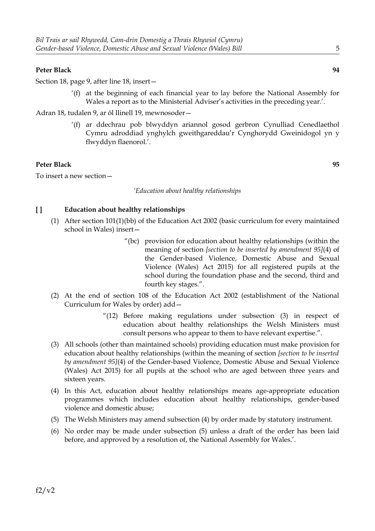Section 18, page 9, after line 18, insert—

'(f) at the beginning of each financial year to lay before the National Assembly for Wales a report as to the Ministerial Adviser's activities in the preceding year.'.

Adran 18, tudalen 9, ar ôl llinell 19, mewnosoder—

'(f) ar ddechrau pob blwyddyn ariannol gosod gerbron Cynulliad Cenedlaethol Cymru adroddiad ynghylch gweithgareddau'r Cynghorydd Gweinidogol yn y flwyddyn flaenorol.'.

## **Peter Black 95**

To insert a new section—

#### *'Education about healthy relationships*

## **[ ] Education about healthy relationships**

- (1) After section 101(1)(bb) of the Education Act 2002 (basic curriculum for every maintained school in Wales) insert—
	- "(bc) provision for education about healthy relationships (within the meaning of section *[section to be inserted by amendment 95]*(4) of the Gender-based Violence, Domestic Abuse and Sexual Violence (Wales) Act 2015) for all registered pupils at the school during the foundation phase and the second, third and fourth key stages.".
- (2) At the end of section 108 of the Education Act 2002 (establishment of the National Curriculum for Wales by order) add—
	- $(12)$  Before making regulations under subsection  $(3)$  in respect of education about healthy relationships the Welsh Ministers must consult persons who appear to them to have relevant expertise.".
- (3) All schools (other than maintained schools) providing education must make provision for education about healthy relationships (within the meaning of section *[section to be inserted by amendment 95]*(4) of the Gender-based Violence, Domestic Abuse and Sexual Violence (Wales) Act 2015) for all pupils at the school who are aged between three years and sixteen years.
- (4) In this Act, education about healthy relationships means age-appropriate education programmes which includes education about healthy relationships, gender-based violence and domestic abuse;
- (5) The Welsh Ministers may amend subsection (4) by order made by statutory instrument.
- (6) No order may be made under subsection (5) unless a draft of the order has been laid before, and approved by a resolution of, the National Assembly for Wales.'.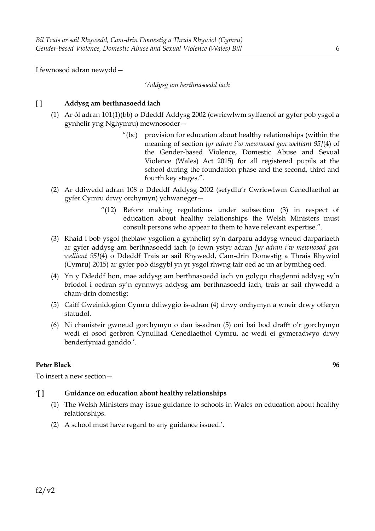I fewnosod adran newydd—

#### *'Addysg am berthnasoedd iach*

## **[ ] Addysg am berthnasoedd iach**

- (1) Ar ôl adran 101(1)(bb) o Ddeddf Addysg 2002 (cwricwlwm sylfaenol ar gyfer pob ysgol a gynhelir yng Nghymru) mewnosoder—
	- "(bc) provision for education about healthy relationships (within the meaning of section *[yr adran i'w mewnosod gan welliant 95]*(4) of the Gender-based Violence, Domestic Abuse and Sexual Violence (Wales) Act 2015) for all registered pupils at the school during the foundation phase and the second, third and fourth key stages.".
- (2) Ar ddiwedd adran 108 o Ddeddf Addysg 2002 (sefydlu'r Cwricwlwm Cenedlaethol ar gyfer Cymru drwy orchymyn) ychwaneger—
	- "(12) Before making regulations under subsection (3) in respect of education about healthy relationships the Welsh Ministers must consult persons who appear to them to have relevant expertise.".
- (3) Rhaid i bob ysgol (heblaw ysgolion a gynhelir) sy'n darparu addysg wneud darpariaeth ar gyfer addysg am berthnasoedd iach (o fewn ystyr adran *[yr adran i'w mewnosod gan welliant 95]*(4) o Ddeddf Trais ar sail Rhywedd, Cam-drin Domestig a Thrais Rhywiol (Cymru) 2015) ar gyfer pob disgybl yn yr ysgol rhwng tair oed ac un ar bymtheg oed.
- (4) Yn y Ddeddf hon, mae addysg am berthnasoedd iach yn golygu rhaglenni addysg sy'n briodol i oedran sy'n cynnwys addysg am berthnasoedd iach, trais ar sail rhywedd a cham-drin domestig;
- (5) Caiff Gweinidogion Cymru ddiwygio is-adran (4) drwy orchymyn a wneir drwy offeryn statudol.
- (6) Ni chaniateir gwneud gorchymyn o dan is-adran (5) oni bai bod drafft o'r gorchymyn wedi ei osod gerbron Cynulliad Cenedlaethol Cymru, ac wedi ei gymeradwyo drwy benderfyniad ganddo.'.

#### **Peter Black 96**

To insert a new section—

#### **'[ ] Guidance on education about healthy relationships**

- (1) The Welsh Ministers may issue guidance to schools in Wales on education about healthy relationships.
- (2) A school must have regard to any guidance issued.'.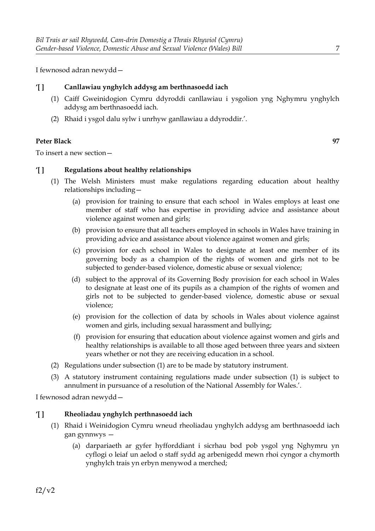I fewnosod adran newydd—

## **'[ ] Canllawiau ynghylch addysg am berthnasoedd iach**

- (1) Caiff Gweinidogion Cymru ddyroddi canllawiau i ysgolion yng Nghymru ynghylch addysg am berthnasoedd iach.
- (2) Rhaid i ysgol dalu sylw i unrhyw ganllawiau a ddyroddir.'.

#### **Peter Black 97**

To insert a new section—

## **'[ ] Regulations about healthy relationships**

- (1) The Welsh Ministers must make regulations regarding education about healthy relationships including—
	- (a) provision for training to ensure that each school in Wales employs at least one member of staff who has expertise in providing advice and assistance about violence against women and girls;
	- (b) provision to ensure that all teachers employed in schools in Wales have training in providing advice and assistance about violence against women and girls;
	- (c) provision for each school in Wales to designate at least one member of its governing body as a champion of the rights of women and girls not to be subjected to gender-based violence, domestic abuse or sexual violence;
	- (d) subject to the approval of its Governing Body provision for each school in Wales to designate at least one of its pupils as a champion of the rights of women and girls not to be subjected to gender-based violence, domestic abuse or sexual violence;
	- (e) provision for the collection of data by schools in Wales about violence against women and girls, including sexual harassment and bullying;
	- (f) provision for ensuring that education about violence against women and girls and healthy relationships is available to all those aged between three years and sixteen years whether or not they are receiving education in a school.
- (2) Regulations under subsection (1) are to be made by statutory instrument.
- (3) A statutory instrument containing regulations made under subsection (1) is subject to annulment in pursuance of a resolution of the National Assembly for Wales.'.

I fewnosod adran newydd—

#### **'[ ] Rheoliadau ynghylch perthnasoedd iach**

- (1) Rhaid i Weinidogion Cymru wneud rheoliadau ynghylch addysg am berthnasoedd iach gan gynnwys —
	- (a) darpariaeth ar gyfer hyfforddiant i sicrhau bod pob ysgol yng Nghymru yn cyflogi o leiaf un aelod o staff sydd ag arbenigedd mewn rhoi cyngor a chymorth ynghylch trais yn erbyn menywod a merched;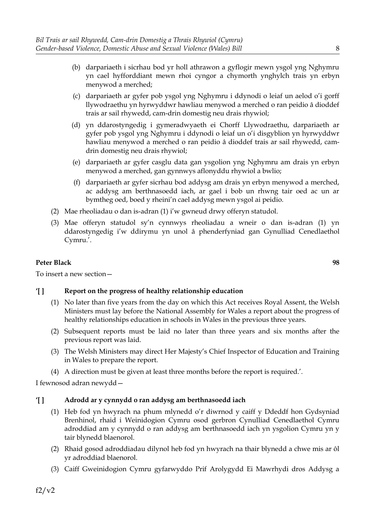- (b) darpariaeth i sicrhau bod yr holl athrawon a gyflogir mewn ysgol yng Nghymru yn cael hyfforddiant mewn rhoi cyngor a chymorth ynghylch trais yn erbyn menywod a merched;
- (c) darpariaeth ar gyfer pob ysgol yng Nghymru i ddynodi o leiaf un aelod o'i gorff llywodraethu yn hyrwyddwr hawliau menywod a merched o ran peidio â dioddef trais ar sail rhywedd, cam-drin domestig neu drais rhywiol;
- (d) yn ddarostyngedig i gymeradwyaeth ei Chorff Llywodraethu, darpariaeth ar gyfer pob ysgol yng Nghymru i ddynodi o leiaf un o'i disgyblion yn hyrwyddwr hawliau menywod a merched o ran peidio â dioddef trais ar sail rhywedd, camdrin domestig neu drais rhywiol;
- (e) darpariaeth ar gyfer casglu data gan ysgolion yng Nghymru am drais yn erbyn menywod a merched, gan gynnwys aflonyddu rhywiol a bwlio;
- (f) darpariaeth ar gyfer sicrhau bod addysg am drais yn erbyn menywod a merched, ac addysg am berthnasoedd iach, ar gael i bob un rhwng tair oed ac un ar bymtheg oed, boed y rheini'n cael addysg mewn ysgol ai peidio.
- (2) Mae rheoliadau o dan is-adran (1) i'w gwneud drwy offeryn statudol.
- (3) Mae offeryn statudol sy'n cynnwys rheoliadau a wneir o dan is-adran (1) yn ddarostyngedig i'w ddirymu yn unol â phenderfyniad gan Gynulliad Cenedlaethol Cymru.'.

To insert a new section—

## **'[ ] Report on the progress of healthy relationship education**

- (1) No later than five years from the day on which this Act receives Royal Assent, the Welsh Ministers must lay before the National Assembly for Wales a report about the progress of healthy relationships education in schools in Wales in the previous three years.
- (2) Subsequent reports must be laid no later than three years and six months after the previous report was laid.
- (3) The Welsh Ministers may direct Her Majesty's Chief Inspector of Education and Training in Wales to prepare the report.
- (4) A direction must be given at least three months before the report is required.'.

I fewnosod adran newydd—

# **'[ ] Adrodd ar y cynnydd o ran addysg am berthnasoedd iach**

- (1) Heb fod yn hwyrach na phum mlynedd o'r diwrnod y caiff y Ddeddf hon Gydsyniad Brenhinol, rhaid i Weinidogion Cymru osod gerbron Cynulliad Cenedlaethol Cymru adroddiad am y cynnydd o ran addysg am berthnasoedd iach yn ysgolion Cymru yn y tair blynedd blaenorol.
- (2) Rhaid gosod adroddiadau dilynol heb fod yn hwyrach na thair blynedd a chwe mis ar ôl yr adroddiad blaenorol.
- (3) Caiff Gweinidogion Cymru gyfarwyddo Prif Arolygydd Ei Mawrhydi dros Addysg a